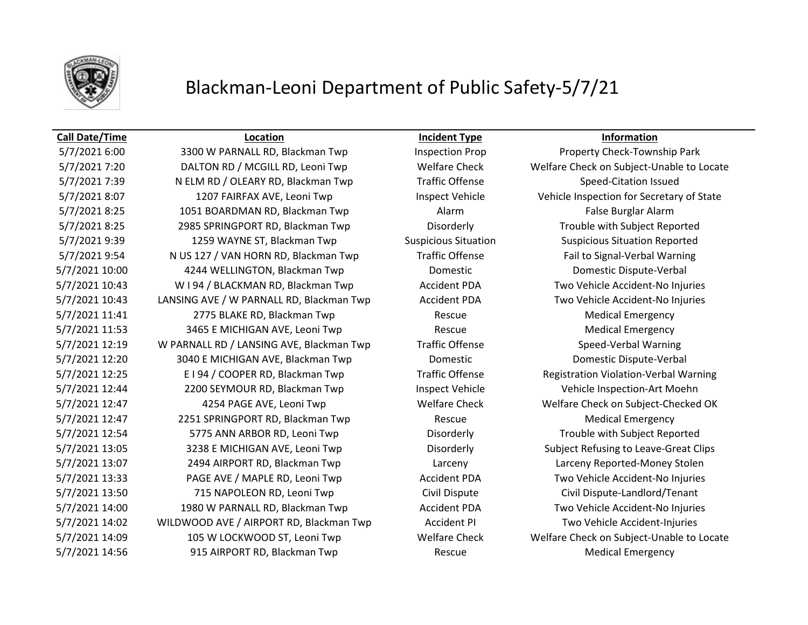

### **Call Date/Time Location Incident Type Information**

5/7/2021 7:39 N ELM RD / OLEARY RD, Blackman Twp Traffic Offense Speed-Citation Issued 5/7/2021 8:07 1207 FAIRFAX AVE, Leoni Twp Inspect Vehicle Vehicle Vehicle Inspection for Secretary of State 5/7/2021 8:25 1051 BOARDMAN RD, Blackman Twp Alarm Alarm **Alarm False Burglar Alarm** 5/7/2021 8:25 2985 SPRINGPORT RD, Blackman Twp Disorderly Trouble with Subject Reported 5/7/2021 9:39 1259 WAYNE ST, Blackman Twp Suspicious Situation Suspicious Situation Reported 5/7/2021 9:54 N US 127 / VAN HORN RD, Blackman Twp Traffic Offense Fail to Signal-Verbal Warning 5/7/2021 10:00 4244 WELLINGTON, Blackman Twp Domestic Domestic Dispute-Verbal 5/7/2021 10:43 W I 94 / BLACKMAN RD, Blackman Twp Accident PDA Two Vehicle Accident-No Injuries 5/7/2021 10:43 LANSING AVE / W PARNALL RD, Blackman Twp Accident PDA Two Vehicle Accident-No Injuries 5/7/2021 11:41 2775 BLAKE RD, Blackman Twp Rescue Rescue Medical Emergency 5/7/2021 11:53 3465 E MICHIGAN AVE, Leoni Twp Rescue Rescue Medical Emergency 5/7/2021 12:19 W PARNALL RD / LANSING AVE, Blackman Twp Traffic Offense Speed-Verbal Warning 5/7/2021 12:20 3040 E MICHIGAN AVE, Blackman Twp Domestic Domestic Dispute-Verbal 5/7/2021 12:25 E I 94 / COOPER RD, Blackman Twp Traffic Offense Registration Violation-Verbal Warning 5/7/2021 12:44 2200 SEYMOUR RD, Blackman Twp Inspect Vehicle Vehicle Vehicle Inspection-Art Moehn 5/7/2021 12:47 4254 PAGE AVE, Leoni Twp Welfare Check Welfare Check on Subject-Checked OK 5/7/2021 12:47 2251 SPRINGPORT RD, Blackman Twp Rescue Medical Emergency 5/7/2021 12:54 5775 ANN ARBOR RD, Leoni Twp Disorderly Trouble with Subject Reported 5/7/2021 13:05 3238 E MICHIGAN AVE, Leoni Twp Disorderly Subject Refusing to Leave-Great Clips 5/7/2021 13:07 2494 AIRPORT RD, Blackman Twp Larceny Larceny Reported-Money Stolen 5/7/2021 13:33 PAGE AVE / MAPLE RD, Leoni Twp Accident PDA Two Vehicle Accident-No Injuries 5/7/2021 13:50 715 NAPOLEON RD, Leoni Twp Civil Dispute Civil Dispute-Landlord/Tenant 5/7/2021 14:00 1980 W PARNALL RD, Blackman Twp Accident PDA Two Vehicle Accident-No Injuries 5/7/2021 14:02 WILDWOOD AVE / AIRPORT RD, Blackman Twp Accident PI Two Vehicle Accident-Injuries 5/7/2021 14:56 915 AIRPORT RD, Blackman Twp Rescue Medical Emergency

5/7/2021 6:00 3300 W PARNALL RD, Blackman Twp Inspection Prop Property Check-Township Park 5/7/2021 7:20 DALTON RD / MCGILL RD, Leoni Twp Welfare Check Welfare Check on Subject-Unable to Locate 5/7/2021 14:09 105 W LOCKWOOD ST, Leoni Twp Welfare Check Welfare Check on Subject-Unable to Locate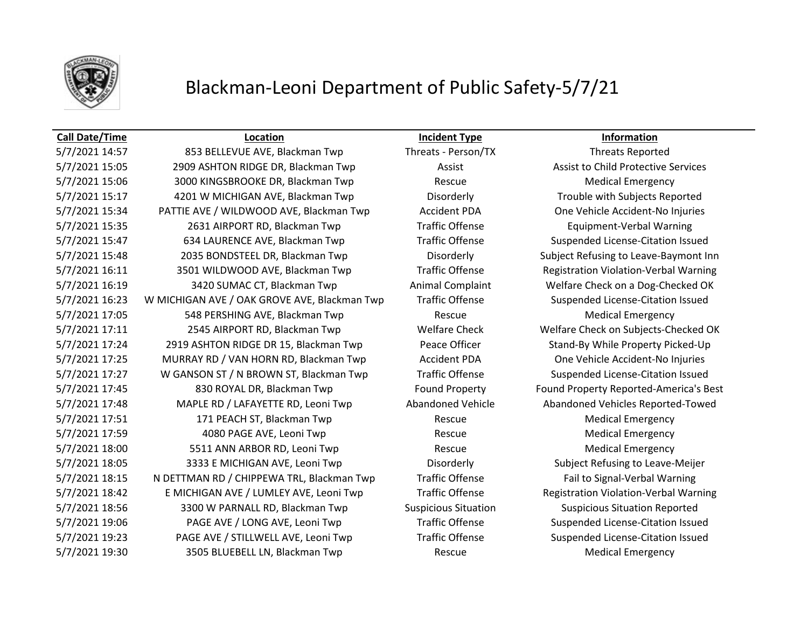

### **Call Date/Time Location Incident Type Information**

5/7/2021 14:57 853 BELLEVUE AVE, Blackman Twp Threats - Person/TX Threats Reported 5/7/2021 15:05 2909 ASHTON RIDGE DR, Blackman Twp **Assist Assist Assist Assist to Child Protective Services** 5/7/2021 15:06 3000 KINGSBROOKE DR, Blackman Twp Rescue Rescue Medical Emergency 5/7/2021 15:17 4201 W MICHIGAN AVE, Blackman Twp Disorderly Trouble with Subjects Reported 5/7/2021 15:34 PATTIE AVE / WILDWOOD AVE, Blackman Twp Accident PDA One Vehicle Accident-No Injuries 5/7/2021 15:35 2631 AIRPORT RD, Blackman Twp Traffic Offense Equipment-Verbal Warning 5/7/2021 15:47 634 LAURENCE AVE, Blackman Twp Traffic Offense Suspended License-Citation Issued 5/7/2021 15:48 2035 BONDSTEEL DR, Blackman Twp Disorderly Subject Refusing to Leave-Baymont Inn 5/7/2021 16:11 3501 WILDWOOD AVE, Blackman Twp Traffic Offense Registration Violation-Verbal Warning 5/7/2021 16:19 3420 SUMAC CT, Blackman Twp **Animal Complaint** Welfare Check on a Dog-Checked OK 5/7/2021 16:23 W MICHIGAN AVE / OAK GROVE AVE, Blackman Twp Traffic Offense Suspended License-Citation Issued 5/7/2021 17:05 548 PERSHING AVE, Blackman Twp Rescue Rescue Medical Emergency 5/7/2021 17:11 2545 AIRPORT RD, Blackman Twp Welfare Check Welfare Check on Subjects-Checked OK 5/7/2021 17:24 2919 ASHTON RIDGE DR 15, Blackman Twp Peace Officer Stand-By While Property Picked-Up 5/7/2021 17:25 MURRAY RD / VAN HORN RD, Blackman Twp Accident PDA One Vehicle Accident-No Injuries 5/7/2021 17:27 W GANSON ST / N BROWN ST, Blackman Twp Traffic Offense Suspended License-Citation Issued 5/7/2021 17:45 830 ROYAL DR, Blackman Twp Found Property Found Property Reported-America's Best 5/7/2021 17:48 MAPLE RD / LAFAYETTE RD, Leoni Twp Abandoned Vehicle Abandoned Vehicles Reported-Towed 5/7/2021 17:51 171 PEACH ST, Blackman Twp Rescue Rescue Medical Emergency 5/7/2021 17:59 4080 PAGE AVE, Leoni Twp Rescue Medical Emergency 5/7/2021 18:00 5511 ANN ARBOR RD, Leoni Twp Rescue Rescue Medical Emergency 5/7/2021 18:05 3333 E MICHIGAN AVE, Leoni Twp Disorderly Subject Refusing to Leave-Meijer 5/7/2021 18:15 N DETTMAN RD / CHIPPEWA TRL, Blackman Twp Traffic Offense Fail to Signal-Verbal Warning 5/7/2021 18:42 E MICHIGAN AVE / LUMLEY AVE, Leoni Twp Traffic Offense Registration Violation-Verbal Warning 5/7/2021 18:56 3300 W PARNALL RD, Blackman Twp Suspicious Situation Suspicious Situation Reported 5/7/2021 19:06 PAGE AVE / LONG AVE, Leoni Twp Traffic Offense Suspended License-Citation Issued 5/7/2021 19:23 PAGE AVE / STILLWELL AVE, Leoni Twp Traffic Offense Suspended License-Citation Issued 5/7/2021 19:30 3505 BLUEBELL LN, Blackman Twp Rescue Medical Emergency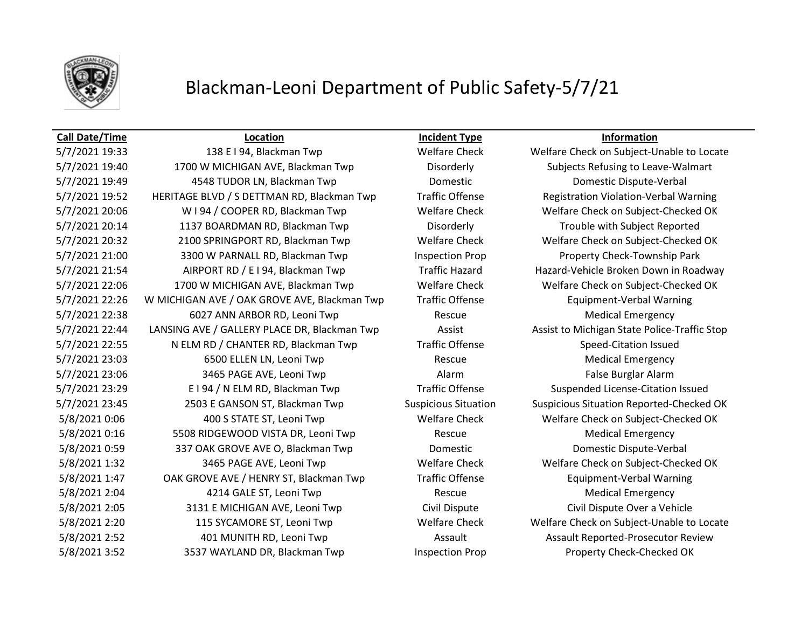

### **Call Date/Time Location Incident Type Information**

5/7/2021 19:40 1700 W MICHIGAN AVE, Blackman Twp Disorderly Subjects Refusing to Leave-Walmart 5/7/2021 19:49 4548 TUDOR LN, Blackman Twp Domestic Domestic Dispute-Verbal 5/7/2021 19:52 HERITAGE BLVD / S DETTMAN RD, Blackman Twp Traffic Offense Registration Violation-Verbal Warning 5/7/2021 20:06 W I 94 / COOPER RD, Blackman Twp Welfare Check Welfare Check on Subject-Checked OK 5/7/2021 20:14 1137 BOARDMAN RD, Blackman Twp Disorderly Trouble with Subject Reported 5/7/2021 20:32 2100 SPRINGPORT RD, Blackman Twp Welfare Check Welfare Check on Subject-Checked OK 5/7/2021 21:00 3300 W PARNALL RD, Blackman Twp Inspection Prop Property Check-Township Park 5/7/2021 21:54 AIRPORT RD / E I 94, Blackman Twp Traffic Hazard Hazard Hazard-Vehicle Broken Down in Roadway 5/7/2021 22:06 1700 W MICHIGAN AVE, Blackman Twp Welfare Check Welfare Check on Subject-Checked OK 5/7/2021 22:26 W MICHIGAN AVE / OAK GROVE AVE, Blackman Twp Traffic Offense Equipment-Verbal Warning 5/7/2021 22:38 6027 ANN ARBOR RD, Leoni Twp Rescue Rescue Medical Emergency 5/7/2021 22:44 LANSING AVE / GALLERY PLACE DR, Blackman Twp Assist Assist Assist to Michigan State Police-Traffic Stop 5/7/2021 22:55 N ELM RD / CHANTER RD, Blackman Twp Traffic Offense Speed-Citation Issued 5/7/2021 23:03 6500 ELLEN LN, Leoni Twp Rescue Rescue Medical Emergency 5/7/2021 23:06 3465 PAGE AVE, Leoni Twp **Alarm** Alarm Alarm False Burglar Alarm 5/7/2021 23:29 E I 94 / N ELM RD, Blackman Twp Traffic Offense Suspended License-Citation Issued 5/7/2021 23:45 2503 E GANSON ST, Blackman Twp Suspicious Situation Suspicious Situation Reported-Checked OK 5/8/2021 0:06 400 S STATE ST, Leoni Twp Welfare Check Welfare Check on Subject-Checked OK 5/8/2021 0:16 5508 RIDGEWOOD VISTA DR, Leoni Twp Rescue Rescue Medical Emergency 5/8/2021 0:59 337 OAK GROVE AVE O, Blackman Twp Domestic Domestic Dispute-Verbal 5/8/2021 1:32 3465 PAGE AVE, Leoni Twp Welfare Check Welfare Check on Subject-Checked OK 5/8/2021 1:47 OAK GROVE AVE / HENRY ST, Blackman Twp Traffic Offense Equipment-Verbal Warning 5/8/2021 2:04 **4214 GALE ST, Leoni Twp** Rescue Rescue Medical Emergency 5/8/2021 2:05 3131 E MICHIGAN AVE, Leoni Twp Civil Dispute Civil Dispute Civil Dispute Over a Vehicle 5/8/2021 2:20 115 SYCAMORE ST, Leoni Twp Welfare Check Welfare Check on Subject-Unable to Locate 5/8/2021 2:52 401 MUNITH RD, Leoni Twp Assault Assault Assault Reported-Prosecutor Review 5/8/2021 3:52 3537 WAYLAND DR, Blackman Twp Inspection Prop Property Check-Checked OK

5/7/2021 19:33 138 E I 94, Blackman Twp Welfare Check Welfare Check on Subject-Unable to Locate